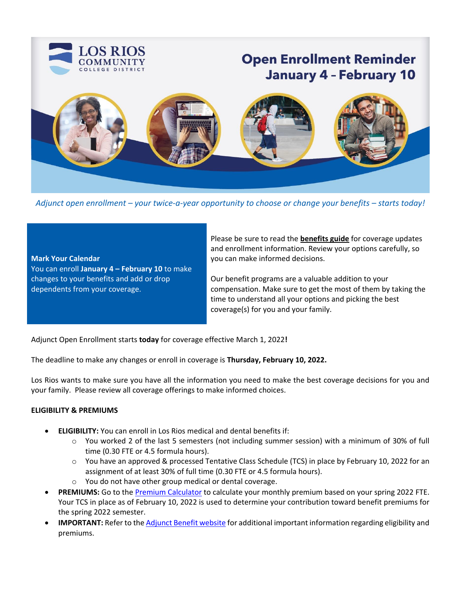

*Adjunct open enrollment – your twice-a-year opportunity to choose or change your benefits – starts today!* 

**Mark Your Calendar** You can enroll **January 4 – February 10** to make changes to your benefits and add or drop dependents from your coverage.

Please be sure to read the **[benefits guide](https://employees.losrios.edu/lrccd/employee/doc/benefits/guides/lrcft-adj-benefits-guide.pdf)** for coverage updates and enrollment information. Review your options carefully, so you can make informed decisions.

Our benefit programs are a valuable addition to your compensation. Make sure to get the most of them by taking the time to understand all your options and picking the best coverage(s) for you and your family.

Adjunct Open Enrollment starts **today** for coverage effective March 1, 2022**!**

The deadline to make any changes or enroll in coverage is **Thursday, February 10, 2022.** 

Los Rios wants to make sure you have all the information you need to make the best coverage decisions for you and your family. Please review all coverage offerings to make informed choices.

# **ELIGIBILITY & PREMIUMS**

- **ELIGIBILITY:** You can enroll in Los Rios medical and dental benefits if:
	- o You worked 2 of the last 5 semesters (not including summer session) with a minimum of 30% of full time (0.30 FTE or 4.5 formula hours).
	- o You have an approved & processed Tentative Class Schedule (TCS) in place by February 10, 2022 for an assignment of at least 30% of full time (0.30 FTE or 4.5 formula hours).
	- o You do not have other group medical or dental coverage.
- **PREMIUMS:** Go to th[e Premium Calculator](https://employees.losrios.edu/human-resources-and-benefits/employee-benefits/adjunct-contribution-calculator) to calculate your monthly premium based on your spring 2022 FTE. Your TCS in place as of February 10, 2022 is used to determine your contribution toward benefit premiums for the spring 2022 semester.
- **IMPORTANT:** Refer to the [Adjunct Benefit website](https://employees.losrios.edu/employee-groups/certificated-employees/adjunct-lrcft-benefits) for additional important information regarding eligibility and premiums.